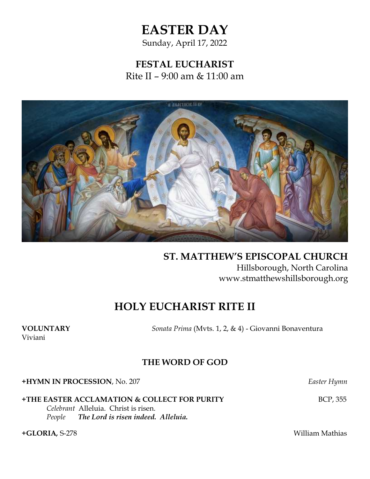## **EASTER DAY**

Sunday, April 17, 2022

**FESTAL EUCHARIST** Rite II – 9:00 am & 11:00 am



**ST. MATTHEW'S EPISCOPAL CHURCH**  Hillsborough, North Carolina www.stmatthewshillsborough.org

## **HOLY EUCHARIST RITE II**

Viviani

**VOLUNTARY** *Sonata Prima* (Mvts. 1, 2, & 4) - Giovanni Bonaventura

### **THE WORD OF GOD**

**+HYMN IN PROCESSION**, No. 207 *Easter Hymn*

**+THE EASTER ACCLAMATION & COLLECT FOR PURITY** BCP, 355

*Celebrant* Alleluia. Christ is risen. *People**The Lord is risen indeed. Alleluia.*

**+GLORIA***,* S-278 William Mathias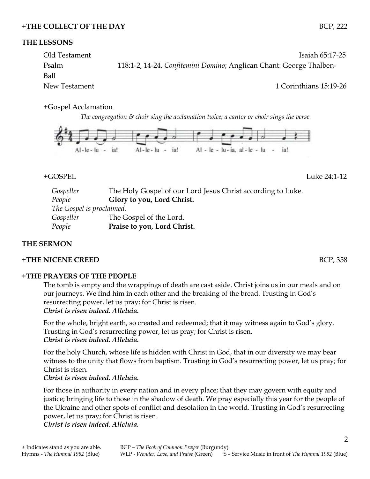### **+THE COLLECT OF THE DAY** BCP, 222

### **THE LESSONS**

Old Testament Isaiah 65:17-25 Psalm 118:1-2, 14-24, *Confitemini Domino*; Anglican Chant: George Thalben-Ball New Testament 1 Corinthians 15:19-26

### +Gospel Acclamation

*The congregation & choir sing the acclamation twice; a cantor or choir sings the verse.*



### +GOSPEL Luke 24:1-12

*Gospeller* The Holy Gospel of our Lord Jesus Christ according to Luke. *People* **Glory to you, Lord Christ.** *The Gospel is proclaimed. Gospeller* The Gospel of the Lord. *People* **Praise to you, Lord Christ.**

### **THE SERMON**

### **+THE NICENE CREED** BCP, 358

### **+THE PRAYERS OF THE PEOPLE**

The tomb is empty and the wrappings of death are cast aside. Christ joins us in our meals and on our journeys. We find him in each other and the breaking of the bread. Trusting in God's resurrecting power, let us pray; for Christ is risen.

### *Christ is risen indeed. Alleluia.*

For the whole, bright earth, so created and redeemed; that it may witness again to God's glory. Trusting in God's resurrecting power, let us pray; for Christ is risen. *Christ is risen indeed. Alleluia.*

For the holy Church, whose life is hidden with Christ in God, that in our diversity we may bear witness to the unity that flows from baptism. Trusting in God's resurrecting power, let us pray; for Christ is risen.

*Christ is risen indeed. Alleluia.*

For those in authority in every nation and in every place; that they may govern with equity and justice; bringing life to those in the shadow of death. We pray especially this year for the people of the Ukraine and other spots of conflict and desolation in the world. Trusting in God's resurrecting power, let us pray; for Christ is risen.

*Christ is risen indeed. Alleluia.*

2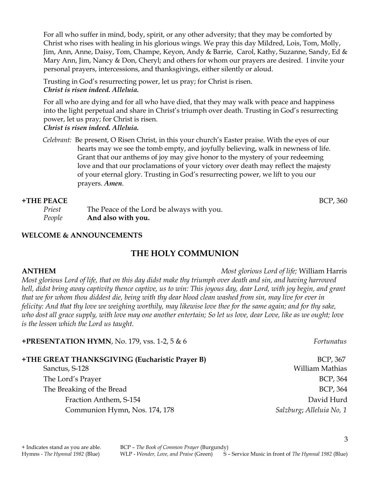For all who suffer in mind, body, spirit, or any other adversity; that they may be comforted by Christ who rises with healing in his glorious wings. We pray this day Mildred, Lois, Tom, Molly, Jim, Ann, Anne, Daisy, Tom, Champe, Keyon, Andy & Barrie, Carol, Kathy, Suzanne, Sandy, Ed & Mary Ann, Jim, Nancy & Don, Cheryl; and others for whom our prayers are desired. I invite your personal prayers, intercessions, and thanksgivings, either silently or aloud.

Trusting in God's resurrecting power, let us pray; for Christ is risen. *Christ is risen indeed. Alleluia.*

For all who are dying and for all who have died, that they may walk with peace and happiness into the light perpetual and share in Christ's triumph over death. Trusting in God's resurrecting power, let us pray; for Christ is risen.

*Christ is risen indeed. Alleluia.*

 *Celebrant:* Be present, O Risen Christ, in this your church's Easter praise. With the eyes of our hearts may we see the tomb empty, and joyfully believing, walk in newness of life. Grant that our anthems of joy may give honor to the mystery of your redeeming love and that our proclamations of your victory over death may reflect the majesty of your eternal glory. Trusting in God's resurrecting power, we lift to you our prayers. *Amen*.

### **+THE PEACE** BCP, 360

*Priest* The Peace of the Lord be always with you. *People* **And also with you.**

### **WELCOME & ANNOUNCEMENTS**

### **THE HOLY COMMUNION**

### **ANTHEM** *Most glorious Lord of life;* William Harris *Most glorious Lord of life, that on this day didst make thy triumph over death and sin, and having harrowed hell, didst bring away captivity thence captive, us to win: This joyous day, dear Lord, with joy begin, and grant that we for whom thou diddest die, being with thy dear blood clean washed from sin, may live for ever in felicity: And that thy love we weighing worthily, may likewise love thee for the same again; and for thy sake, who dost all grace supply, with love may one another entertain; So let us love, dear Love, like as we ought; love is the lesson which the Lord us taught.*

# **+PRESENTATION HYMN**, No. 179, vss. 1-2, 5 & 6 *Fortunatus*

**+THE GREAT THANKSGIVING (Eucharistic Prayer B)** BCP, 367 Sanctus, S-128 William Mathias The Lord's Prayer BCP, 364 The Breaking of the Bread BCP, 364 Fraction Anthem, S-154 **David Hurd** David Hurd Communion Hymn, Nos. 174, 178 *Salzburg*; *Alleluia No, 1*

3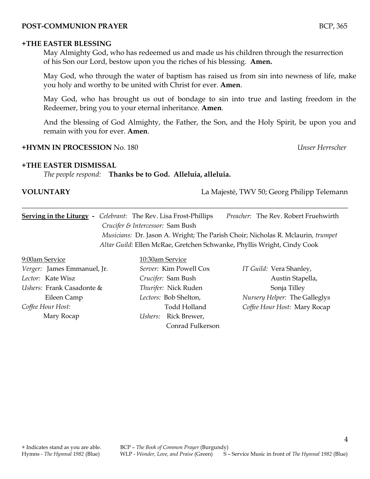### **POST-COMMUNION PRAYER** BCP, 365

#### **+THE EASTER BLESSING**

May Almighty God, who has redeemed us and made us his children through the resurrection of his Son our Lord, bestow upon you the riches of his blessing. **Amen.**

May God, who through the water of baptism has raised us from sin into newness of life, make you holy and worthy to be united with Christ for ever. **Amen**.

May God, who has brought us out of bondage to sin into true and lasting freedom in the Redeemer, bring you to your eternal inheritance. **Amen**.

And the blessing of God Almighty, the Father, the Son, and the Holy Spirit, be upon you and remain with you for ever. **Amen**.

### **+HYMN IN PROCESSION** No. 180 *Unser Herrscher*

### **+THE EASTER DISMISSAL**

*The people respond:* **Thanks be to God. Alleluia, alleluia.**

**VOLUNTARY** La Majesté, TWV 50; Georg Philipp Telemann

**Serving in the Liturgy -** *Celebrant*: The Rev. Lisa Frost-Phillips *Preacher*: The Rev. Robert Fruehwirth *Crucifer & Intercessor:* Sam Bush  *Musicians:* Dr. Jason A. Wright; The Parish Choir; Nicholas R. Mclaurin*, trumpet Altar Guild*: Ellen McRae, Gretchen Schwanke, Phyllis Wright, Cindy Cook

9:00am Service 10:30am Service *Verger:* James Emmanuel, Jr. *Lector:* Kate Wisz *Ushers:* Frank Casadonte & Eileen Camp *Coffee Hour Host:* Mary Rocap

*Server:* Kim Powell Cox *Crucifer:* Sam Bush *Thurifer:* Nick Ruden *Lectors:* Bob Shelton, Todd Holland *Ushers:* Rick Brewer, Conrad Fulkerson

*IT Guild:* Vera Shanley, Austin Stapella, Sonja Tilley *Nursery Helper:* The Galleglys *Coffee Hour Host:* Mary Rocap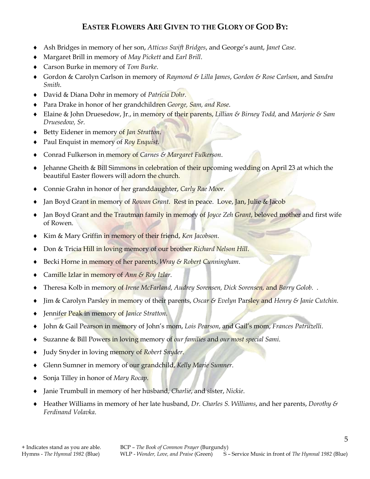### **EASTER FLOWERS ARE GIVEN TO THE GLORY OF GOD BY:**

- Ash Bridges in memory of her son, *Atticus Swift Bridges*, and George's aunt, *Janet Case*.
- Margaret Brill in memory of *May Pickett* and *Earl Brill*.
- Carson Burke in memory of *Tom Burke*.
- Gordon & Carolyn Carlson in memory of *Raymond & Lilla James*, *Gordon & Rose Carlson*, and *Sandra Smith*.
- David & Diana Dohr in memory of *Patricia Dohr.*
- Para Drake in honor of her grandchildren *George, Sam, and Rose*.
- Elaine & John Druesedow, Jr., in memory of their parents, *Lillian & Birney Todd,* and *Marjorie & Sam Druesedow, Sr.*
- Betty Eidener in memory of *Jan Stratton*.
- Paul Enquist in memory of *Roy Enquist*.
- Conrad Fulkerson in memory of *Carnes & Margaret Fulkerson*.
- Jehanne Gheith & Bill Simmons in celebration of their upcoming wedding on April 23 at which the beautiful Easter flowers will adorn the church.
- Connie Grahn in honor of her granddaughter, *Carly Rae Moor*.
- Jan Boyd Grant in memory of *Rowan Grant*. Rest in peace. Love, Jan, Julie & Jacob
- Jan Boyd Grant and the Trautman family in memory of *Joyce Zeh Grant*, beloved mother and first wife of Rowen.
- Kim & Mary Griffin in memory of their friend, *Ken Jacobson*.
- Don & Tricia Hill in loving memory of our brother *Richard Nelson Hill*.
- Becki Horne in memory of her parents, *Wray & Robert Cunningham*.
- Camille Izlar in memory of *Ann & Roy Izlar*.
- Theresa Kolb in memory of *Irene McFarland, Audrey Sorensen, Dick Sorensen,* and *Barry Golob.* .
- Jim & Carolyn Parsley in memory of their parents, *Oscar & Evelyn* Parsley and *Henry & Janie Cutchin.*
- Jennifer Peak in memory of *Janice Stratton*.
- John & Gail Pearson in memory of John's mom, *Lois Pearson*, and Gail's mom, *Frances Patruzelli*.
- Suzanne & Bill Powers in loving memory of *our families* and *our most special Sami*.
- Judy Snyder in loving memory of *Robert Snyder*.
- Glenn Sumner in memory of our grandchild, *Kelly Marie Sumner*.
- Sonja Tilley in honor of *Mary Rocap*.
- Janie Trumbull in memory of her husband, *Charlie*, and sister, *Nickie*.
- Heather Williams in memory of her late husband, *Dr. Charles S. Williams*, and her parents, *Dorothy & Ferdinand Volavka*.

5